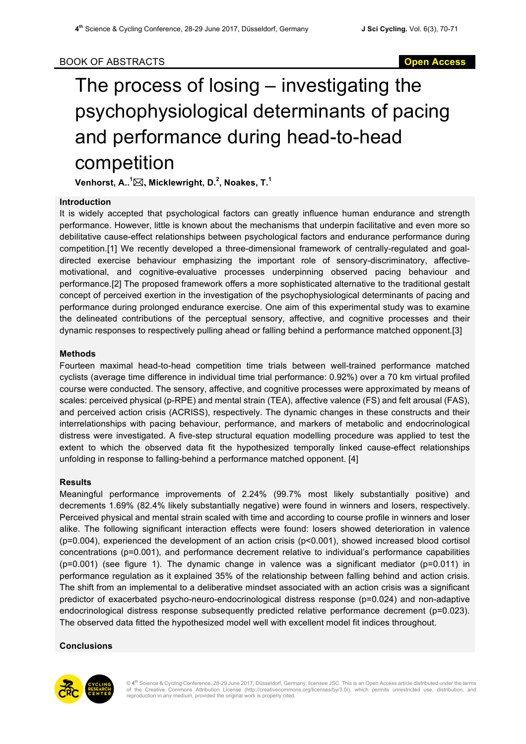# The process of losing – investigating the psychophysiological determinants of pacing and performance during head-to-head competition

**Venhorst, A.. 1** \***, Micklewright, D.<sup>2</sup> , Noakes, T.<sup>1</sup>**

# **Introduction**

It is widely accepted that psychological factors can greatly influence human endurance and strength performance. However, little is known about the mechanisms that underpin facilitative and even more so debilitative cause-effect relationships between psychological factors and endurance performance during competition.[1] We recently developed a three-dimensional framework of centrally-regulated and goaldirected exercise behaviour emphasizing the important role of sensory-discriminatory, affectivemotivational, and cognitive-evaluative processes underpinning observed pacing behaviour and performance.[2] The proposed framework offers a more sophisticated alternative to the traditional gestalt concept of perceived exertion in the investigation of the psychophysiological determinants of pacing and performance during prolonged endurance exercise. One aim of this experimental study was to examine the delineated contributions of the perceptual sensory, affective, and cognitive processes and their dynamic responses to respectively pulling ahead or falling behind a performance matched opponent.[3]

# **Methods**

Fourteen maximal head-to-head competition time trials between well-trained performance matched cyclists (average time difference in individual time trial performance: 0.92%) over a 70 km virtual profiled course were conducted. The sensory, affective, and cognitive processes were approximated by means of scales: perceived physical (p-RPE) and mental strain (TEA), affective valence (FS) and felt arousal (FAS), and perceived action crisis (ACRISS), respectively. The dynamic changes in these constructs and their interrelationships with pacing behaviour, performance, and markers of metabolic and endocrinological distress were investigated. A five-step structural equation modelling procedure was applied to test the extent to which the observed data fit the hypothesized temporally linked cause-effect relationships unfolding in response to falling-behind a performance matched opponent. [4]

### **Results**

Meaningful performance improvements of 2.24% (99.7% most likely substantially positive) and decrements 1.69% (82.4% likely substantially negative) were found in winners and losers, respectively. Perceived physical and mental strain scaled with time and according to course profile in winners and loser alike. The following significant interaction effects were found: losers showed deterioration in valence (p=0.004), experienced the development of an action crisis (p<0.001), showed increased blood cortisol concentrations (p=0.001), and performance decrement relative to individual's performance capabilities (p=0.001) (see figure 1). The dynamic change in valence was a significant mediator (p=0.011) in performance regulation as it explained 35% of the relationship between falling behind and action crisis. The shift from an implemental to a deliberative mindset associated with an action crisis was a significant predictor of exacerbated psycho-neuro-endocrinological distress response (p=0.024) and non-adaptive endocrinological distress response subsequently predicted relative performance decrement (p=0.023). The observed data fitted the hypothesized model well with excellent model fit indices throughout.

### **Conclusions**



© 4<sup>th</sup> Science & Cycling Conference, 28-29 June 2017, Düsseldorf, Germany. licensee JSC. This is an Open Access article distributed under the terms<br>of the Creative Commons Attribution License (http://creativecommons.org/l reproduction in any medium, provided the original work is properly cited.